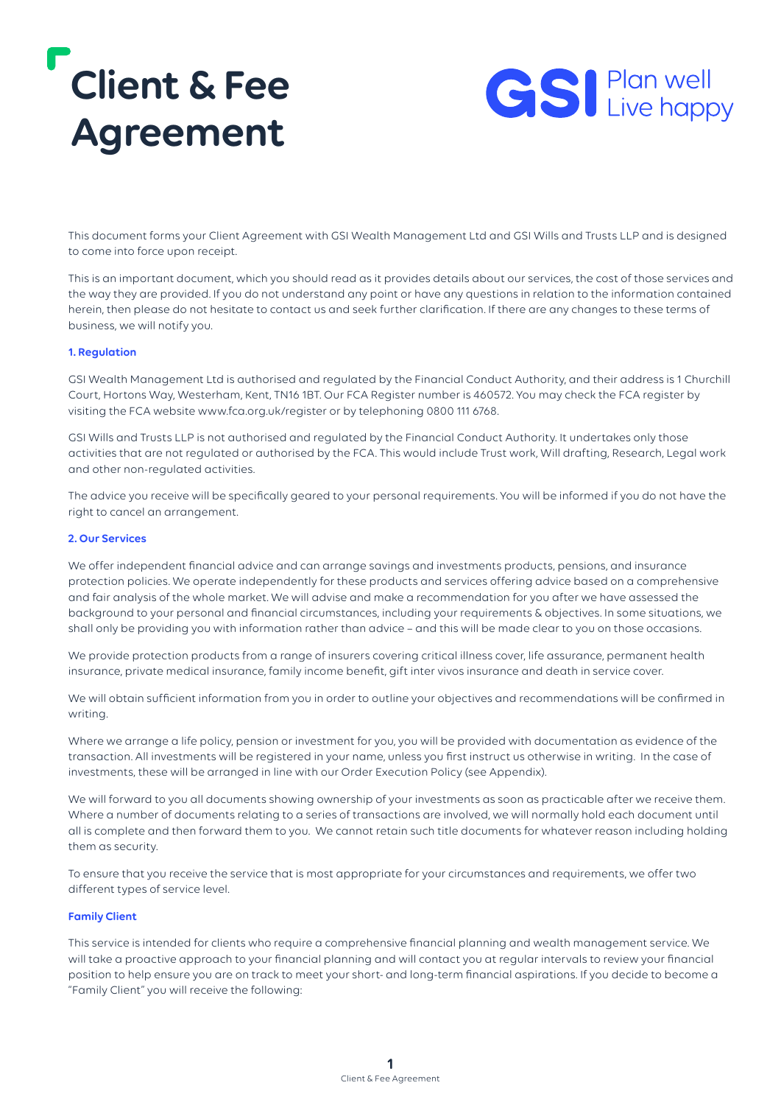# **Client & Fee Agreement**



This document forms your Client Agreement with GSI Wealth Management Ltd and GSI Wills and Trusts LLP and is designed to come into force upon receipt.

This is an important document, which you should read as it provides details about our services, the cost of those services and the way they are provided. If you do not understand any point or have any questions in relation to the information contained herein, then please do not hesitate to contact us and seek further clarification. If there are any changes to these terms of business, we will notify you.

#### **1. Regulation**

GSI Wealth Management Ltd is authorised and regulated by the Financial Conduct Authority, and their address is 1 Churchill Court, Hortons Way, Westerham, Kent, TN16 1BT. Our FCA Register number is 460572. You may check the FCA register by visiting the FCA website www.fca.org.uk/register or by telephoning 0800 111 6768.

GSI Wills and Trusts LLP is not authorised and regulated by the Financial Conduct Authority. It undertakes only those activities that are not regulated or authorised by the FCA. This would include Trust work, Will drafting, Research, Legal work and other non-regulated activities.

The advice you receive will be specifically geared to your personal requirements. You will be informed if you do not have the right to cancel an arrangement.

#### **2. Our Services**

We offer independent financial advice and can arrange savings and investments products, pensions, and insurance protection policies. We operate independently for these products and services offering advice based on a comprehensive and fair analysis of the whole market. We will advise and make a recommendation for you after we have assessed the background to your personal and financial circumstances, including your requirements & objectives. In some situations, we shall only be providing you with information rather than advice – and this will be made clear to you on those occasions.

We provide protection products from a range of insurers covering critical illness cover, life assurance, permanent health insurance, private medical insurance, family income benefit, gift inter vivos insurance and death in service cover.

We will obtain sufficient information from you in order to outline your objectives and recommendations will be confirmed in writing.

Where we arrange a life policy, pension or investment for you, you will be provided with documentation as evidence of the transaction. All investments will be registered in your name, unless you first instruct us otherwise in writing. In the case of investments, these will be arranged in line with our Order Execution Policy (see Appendix).

We will forward to you all documents showing ownership of your investments as soon as practicable after we receive them. Where a number of documents relating to a series of transactions are involved, we will normally hold each document until all is complete and then forward them to you. We cannot retain such title documents for whatever reason including holding them as security.

To ensure that you receive the service that is most appropriate for your circumstances and requirements, we offer two different types of service level.

#### **Family Client**

This service is intended for clients who require a comprehensive financial planning and wealth management service. We will take a proactive approach to your financial planning and will contact you at regular intervals to review your financial position to help ensure you are on track to meet your short- and long-term financial aspirations. If you decide to become a "Family Client" you will receive the following: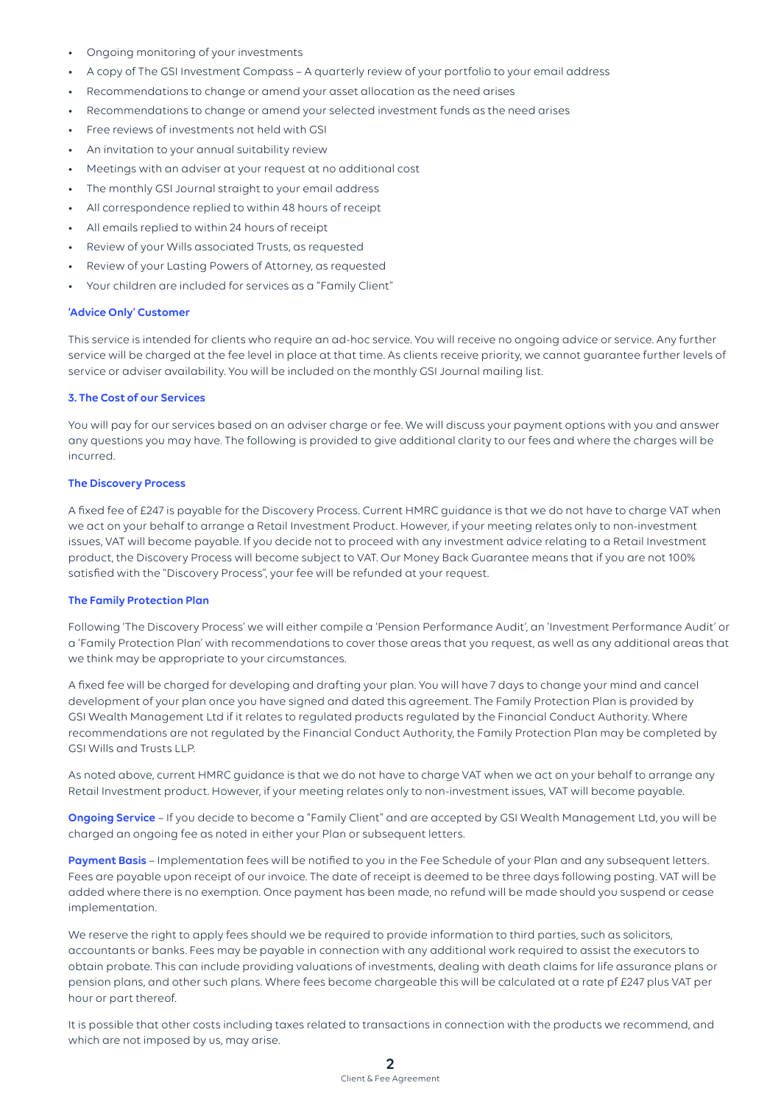- Ongoing monitoring of your investments
- A copy of The GSI Investment Compass A quarterly review of your portfolio to your email address
- Recommendations to change or amend your asset allocation as the need arises
- Recommendations to change or amend your selected investment funds as the need arises
- Free reviews of investments not held with GSI
- An invitation to your annual suitability review
- Meetings with an adviser at your request at no additional cost
- The monthly GSI Journal straight to your email address
- All correspondence replied to within 48 hours of receipt
- All emails replied to within 24 hours of receipt
- Review of your Wills associated Trusts, as requested
- Review of your Lasting Powers of Attorney, as requested
- Your children are included for services as a "Family Client"

### **'Advice Only' Customer**

This service is intended for clients who require an ad-hoc service. You will receive no ongoing advice or service. Any further service will be charged at the fee level in place at that time. As clients receive priority, we cannot guarantee further levels of service or adviser availability. You will be included on the monthly GSI Journal mailing list.

#### **3. The Cost of our Services**

You will pay for our services based on an adviser charge or fee. We will discuss your payment options with you and answer any questions you may have. The following is provided to give additional clarity to our fees and where the charges will be incurred.

# **The Discovery Process**

A fixed fee of £247 is payable for the Discovery Process. Current HMRC guidance is that we do not have to charge VAT when we act on your behalf to arrange a Retail Investment Product. However, if your meeting relates only to non-investment issues, VAT will become payable. If you decide not to proceed with any investment advice relating to a Retail Investment product, the Discovery Process will become subject to VAT. Our Money Back Guarantee means that if you are not 100% satisfied with the "Discovery Process", your fee will be refunded at your request.

#### **The Family Protection Plan**

Following 'The Discovery Process' we will either compile a 'Pension Performance Audit', an 'Investment Performance Audit' or a 'Family Protection Plan' with recommendations to cover those areas that you request, as well as any additional areas that we think may be appropriate to your circumstances.

A fixed fee will be charged for developing and drafting your plan. You will have 7 days to change your mind and cancel development of your plan once you have signed and dated this agreement. The Family Protection Plan is provided by GSI Wealth Management Ltd if it relates to regulated products regulated by the Financial Conduct Authority. Where recommendations are not regulated by the Financial Conduct Authority, the Family Protection Plan may be completed by GSI Wills and Trusts LLP.

As noted above, current HMRC guidance is that we do not have to charge VAT when we act on your behalf to arrange any Retail Investment product. However, if your meeting relates only to non-investment issues, VAT will become payable.

**Ongoing Service** – If you decide to become a "Family Client" and are accepted by GSI Wealth Management Ltd, you will be charged an ongoing fee as noted in either your Plan or subsequent letters.

**Payment Basis** – Implementation fees will be notified to you in the Fee Schedule of your Plan and any subsequent letters. Fees are payable upon receipt of our invoice. The date of receipt is deemed to be three days following posting. VAT will be added where there is no exemption. Once payment has been made, no refund will be made should you suspend or cease implementation.

We reserve the right to apply fees should we be required to provide information to third parties, such as solicitors, accountants or banks. Fees may be payable in connection with any additional work required to assist the executors to obtain probate. This can include providing valuations of investments, dealing with death claims for life assurance plans or pension plans, and other such plans. Where fees become chargeable this will be calculated at a rate pf £247 plus VAT per hour or part thereof.

It is possible that other costs including taxes related to transactions in connection with the products we recommend, and which are not imposed by us, may arise.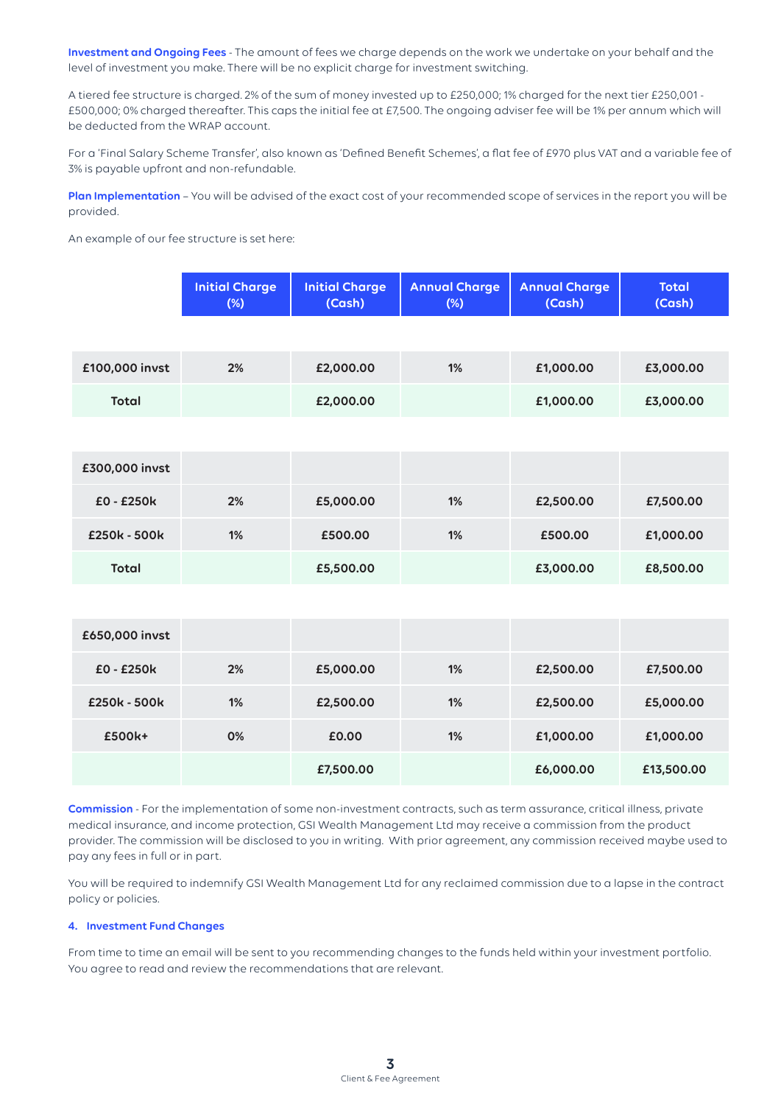**Investment and Ongoing Fees** - The amount of fees we charge depends on the work we undertake on your behalf and the level of investment you make. There will be no explicit charge for investment switching.

A tiered fee structure is charged. 2% of the sum of money invested up to £250,000; 1% charged for the next tier £250,001 - £500,000; 0% charged thereafter. This caps the initial fee at £7,500. The ongoing adviser fee will be 1% per annum which will be deducted from the WRAP account.

For a 'Final Salary Scheme Transfer', also known as 'Defined Benefit Schemes', a flat fee of £970 plus VAT and a variable fee of 3% is payable upfront and non-refundable.

**Plan Implementation** – You will be advised of the exact cost of your recommended scope of services in the report you will be provided.

An example of our fee structure is set here:

|                | <b>Initial Charge</b><br>$(\%)$ | <b>Initial Charge</b><br>(Cash) | <b>Annual Charge</b><br>$(\%)$ | <b>Annual Charge</b><br>(Cash) | <b>Total</b><br>(Cash) |
|----------------|---------------------------------|---------------------------------|--------------------------------|--------------------------------|------------------------|
|                |                                 |                                 |                                |                                |                        |
| £100,000 invst | 2%                              | £2,000.00                       | 1%                             | £1,000.00                      | £3,000.00              |
| <b>Total</b>   |                                 | £2,000.00                       |                                | £1,000.00                      | £3,000.00              |
|                |                                 |                                 |                                |                                |                        |
| £300,000 invst |                                 |                                 |                                |                                |                        |
| £0 - £250k     | 2%                              | £5,000.00                       | 1%                             | £2,500.00                      | £7,500.00              |
| £250k - 500k   | 1%                              | £500.00                         | 1%                             | £500.00                        | £1,000.00              |
| <b>Total</b>   |                                 | £5,500.00                       |                                | £3,000.00                      | £8,500.00              |
|                |                                 |                                 |                                |                                |                        |

| £650,000 invst |    |           |    |           |            |
|----------------|----|-----------|----|-----------|------------|
| $E0 - E250k$   | 2% | £5,000.00 | 1% | £2,500.00 | £7,500.00  |
| £250k - 500k   | 1% | £2,500.00 | 1% | £2,500.00 | £5,000.00  |
| £500k+         | 0% | £0.00     | 1% | £1,000.00 | £1,000.00  |
|                |    | £7,500.00 |    | £6,000.00 | £13,500.00 |

**Commission** - For the implementation of some non-investment contracts, such as term assurance, critical illness, private medical insurance, and income protection, GSI Wealth Management Ltd may receive a commission from the product provider. The commission will be disclosed to you in writing. With prior agreement, any commission received maybe used to pay any fees in full or in part.

You will be required to indemnify GSI Wealth Management Ltd for any reclaimed commission due to a lapse in the contract policy or policies.

# **4. Investment Fund Changes**

From time to time an email will be sent to you recommending changes to the funds held within your investment portfolio. You agree to read and review the recommendations that are relevant.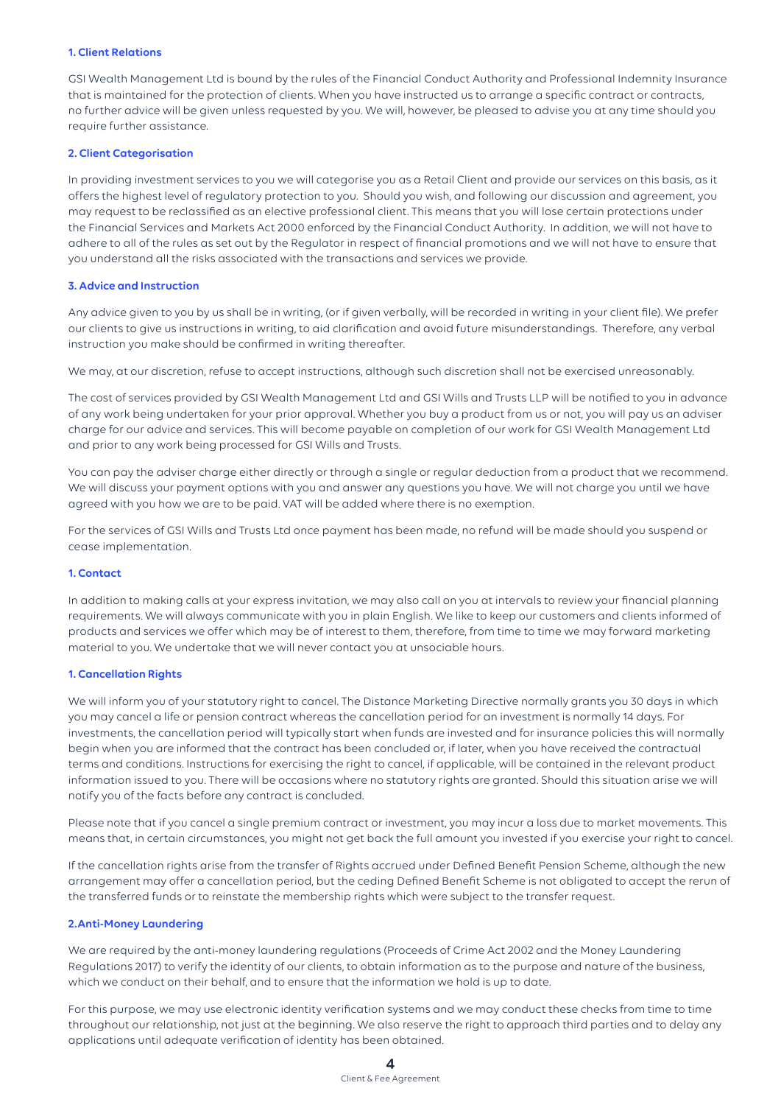# **1. Client Relations**

GSI Wealth Management Ltd is bound by the rules of the Financial Conduct Authority and Professional Indemnity Insurance that is maintained for the protection of clients. When you have instructed us to arrange a specific contract or contracts, no further advice will be given unless requested by you. We will, however, be pleased to advise you at any time should you require further assistance.

#### **2. Client Categorisation**

In providing investment services to you we will categorise you as a Retail Client and provide our services on this basis, as it offers the highest level of regulatory protection to you. Should you wish, and following our discussion and agreement, you may request to be reclassified as an elective professional client. This means that you will lose certain protections under the Financial Services and Markets Act 2000 enforced by the Financial Conduct Authority. In addition, we will not have to adhere to all of the rules as set out by the Regulator in respect of financial promotions and we will not have to ensure that you understand all the risks associated with the transactions and services we provide.

#### **3. Advice and Instruction**

Any advice given to you by us shall be in writing, (or if given verbally, will be recorded in writing in your client file). We prefer our clients to give us instructions in writing, to aid clarification and avoid future misunderstandings. Therefore, any verbal instruction you make should be confirmed in writing thereafter.

We may, at our discretion, refuse to accept instructions, although such discretion shall not be exercised unreasonably.

The cost of services provided by GSI Wealth Management Ltd and GSI Wills and Trusts LLP will be notified to you in advance of any work being undertaken for your prior approval. Whether you buy a product from us or not, you will pay us an adviser charge for our advice and services. This will become payable on completion of our work for GSI Wealth Management Ltd and prior to any work being processed for GSI Wills and Trusts.

You can pay the adviser charge either directly or through a single or regular deduction from a product that we recommend. We will discuss your payment options with you and answer any questions you have. We will not charge you until we have agreed with you how we are to be paid. VAT will be added where there is no exemption.

For the services of GSI Wills and Trusts Ltd once payment has been made, no refund will be made should you suspend or cease implementation.

#### **1. Contact**

In addition to making calls at your express invitation, we may also call on you at intervals to review your financial planning requirements. We will always communicate with you in plain English. We like to keep our customers and clients informed of products and services we offer which may be of interest to them, therefore, from time to time we may forward marketing material to you. We undertake that we will never contact you at unsociable hours.

#### **1. Cancellation Rights**

We will inform you of your statutory right to cancel. The Distance Marketing Directive normally grants you 30 days in which you may cancel a life or pension contract whereas the cancellation period for an investment is normally 14 days. For investments, the cancellation period will typically start when funds are invested and for insurance policies this will normally begin when you are informed that the contract has been concluded or, if later, when you have received the contractual terms and conditions. Instructions for exercising the right to cancel, if applicable, will be contained in the relevant product information issued to you. There will be occasions where no statutory rights are granted. Should this situation arise we will notify you of the facts before any contract is concluded.

Please note that if you cancel a single premium contract or investment, you may incur a loss due to market movements. This means that, in certain circumstances, you might not get back the full amount you invested if you exercise your right to cancel.

If the cancellation rights arise from the transfer of Rights accrued under Defined Benefit Pension Scheme, although the new arrangement may offer a cancellation period, but the ceding Defined Benefit Scheme is not obligated to accept the rerun of the transferred funds or to reinstate the membership rights which were subject to the transfer request.

# **2.Anti-Money Laundering**

We are required by the anti-money laundering regulations (Proceeds of Crime Act 2002 and the Money Laundering Regulations 2017) to verify the identity of our clients, to obtain information as to the purpose and nature of the business, which we conduct on their behalf, and to ensure that the information we hold is up to date.

For this purpose, we may use electronic identity verification systems and we may conduct these checks from time to time throughout our relationship, not just at the beginning. We also reserve the right to approach third parties and to delay any applications until adequate verification of identity has been obtained.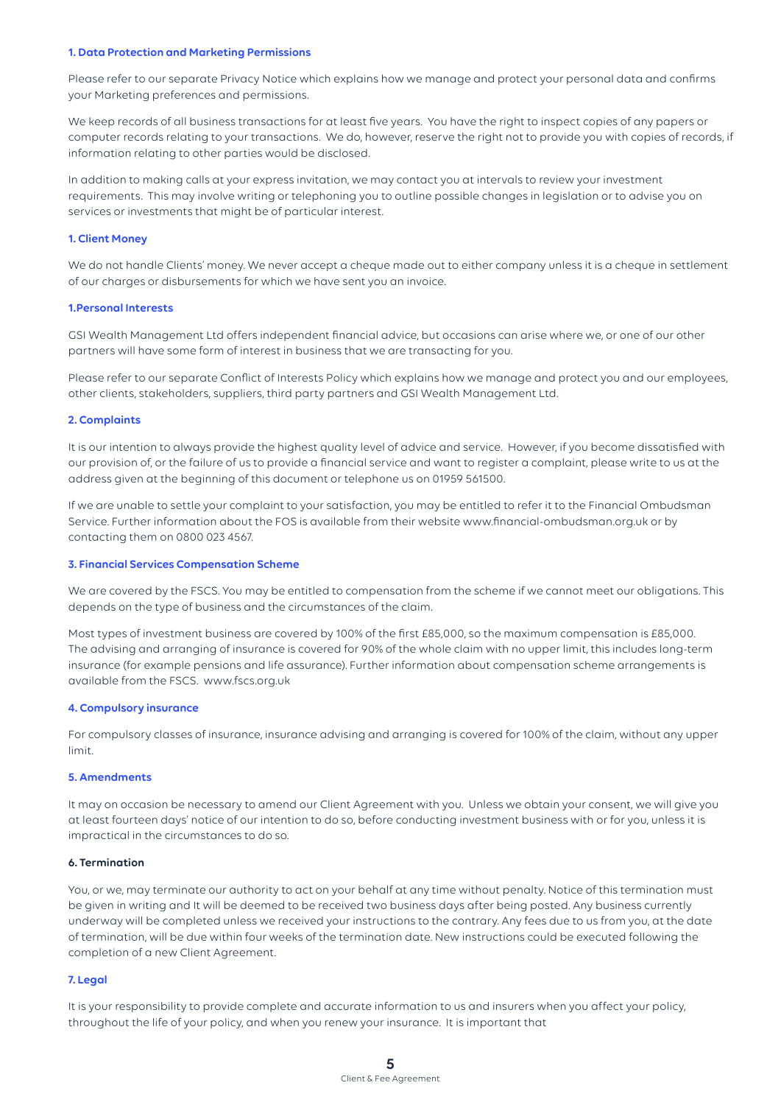#### **1. Data Protection and Marketing Permissions**

Please refer to our separate Privacy Notice which explains how we manage and protect your personal data and confirms your Marketing preferences and permissions.

We keep records of all business transactions for at least five years. You have the right to inspect copies of any papers or computer records relating to your transactions. We do, however, reserve the right not to provide you with copies of records, if information relating to other parties would be disclosed.

In addition to making calls at your express invitation, we may contact you at intervals to review your investment requirements. This may involve writing or telephoning you to outline possible changes in legislation or to advise you on services or investments that might be of particular interest.

#### **1. Client Money**

We do not handle Clients' money. We never accept a cheque made out to either company unless it is a cheque in settlement of our charges or disbursements for which we have sent you an invoice.

#### **1.Personal Interests**

GSI Wealth Management Ltd offers independent financial advice, but occasions can arise where we, or one of our other partners will have some form of interest in business that we are transacting for you.

Please refer to our separate Conflict of Interests Policy which explains how we manage and protect you and our employees, other clients, stakeholders, suppliers, third party partners and GSI Wealth Management Ltd.

#### **2. Complaints**

It is our intention to always provide the highest quality level of advice and service. However, if you become dissatisfied with our provision of, or the failure of us to provide a financial service and want to register a complaint, please write to us at the address given at the beginning of this document or telephone us on 01959 561500.

If we are unable to settle your complaint to your satisfaction, you may be entitled to refer it to the Financial Ombudsman Service. Further information about the FOS is available from their website www.financial-ombudsman.org.uk or by contacting them on 0800 023 4567.

#### **3. Financial Services Compensation Scheme**

We are covered by the FSCS. You may be entitled to compensation from the scheme if we cannot meet our obligations. This depends on the type of business and the circumstances of the claim.

Most types of investment business are covered by 100% of the first £85,000, so the maximum compensation is £85,000. The advising and arranging of insurance is covered for 90% of the whole claim with no upper limit, this includes long-term insurance (for example pensions and life assurance). Further information about compensation scheme arrangements is available from the FSCS. www.fscs.org.uk

#### **4. Compulsory insurance**

For compulsory classes of insurance, insurance advising and arranging is covered for 100% of the claim, without any upper limit.

#### **5. Amendments**

It may on occasion be necessary to amend our Client Agreement with you. Unless we obtain your consent, we will give you at least fourteen days' notice of our intention to do so, before conducting investment business with or for you, unless it is impractical in the circumstances to do so.

#### **6. Termination**

You, or we, may terminate our authority to act on your behalf at any time without penalty. Notice of this termination must be given in writing and It will be deemed to be received two business days after being posted. Any business currently underway will be completed unless we received your instructions to the contrary. Any fees due to us from you, at the date of termination, will be due within four weeks of the termination date. New instructions could be executed following the completion of a new Client Agreement.

#### **7. Legal**

It is your responsibility to provide complete and accurate information to us and insurers when you affect your policy, throughout the life of your policy, and when you renew your insurance. It is important that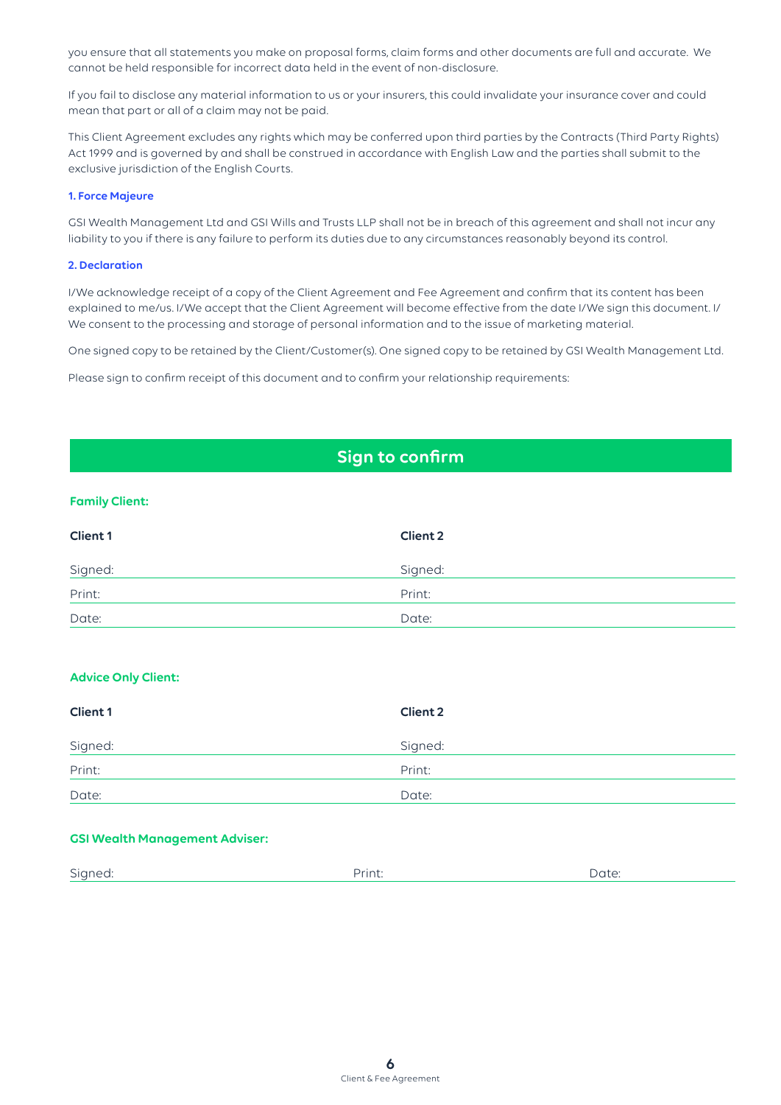you ensure that all statements you make on proposal forms, claim forms and other documents are full and accurate. We cannot be held responsible for incorrect data held in the event of non-disclosure.

If you fail to disclose any material information to us or your insurers, this could invalidate your insurance cover and could mean that part or all of a claim may not be paid.

This Client Agreement excludes any rights which may be conferred upon third parties by the Contracts (Third Party Rights) Act 1999 and is governed by and shall be construed in accordance with English Law and the parties shall submit to the exclusive jurisdiction of the English Courts.

# **1. Force Majeure**

GSI Wealth Management Ltd and GSI Wills and Trusts LLP shall not be in breach of this agreement and shall not incur any liability to you if there is any failure to perform its duties due to any circumstances reasonably beyond its control.

### **2. Declaration**

I/We acknowledge receipt of a copy of the Client Agreement and Fee Agreement and confirm that its content has been explained to me/us. I/We accept that the Client Agreement will become effective from the date I/We sign this document. I/ We consent to the processing and storage of personal information and to the issue of marketing material.

One signed copy to be retained by the Client/Customer(s). One signed copy to be retained by GSI Wealth Management Ltd.

Please sign to confirm receipt of this document and to confirm your relationship requirements:

# **Sign to confirm**

# **Family Client:**

| <b>Client 1</b> | <b>Client 2</b> |
|-----------------|-----------------|
| Signed:         | Signed:         |
| Print:          | Print:          |
| Date:           | Date:           |

# **Advice Only Client:**

| <b>Client 1</b> | <b>Client 2</b> |
|-----------------|-----------------|
| Signed:         | Signed:         |
| Print:          | Print:          |
| Date:           | Date:           |

# **GSI Wealth Management Adviser:**

| $\widehat{\phantom{a}}$<br><b>Sidued</b><br>- U -<br>. | . | ۱٬۱۱<br>Ducc. |
|--------------------------------------------------------|---|---------------|
|                                                        |   |               |